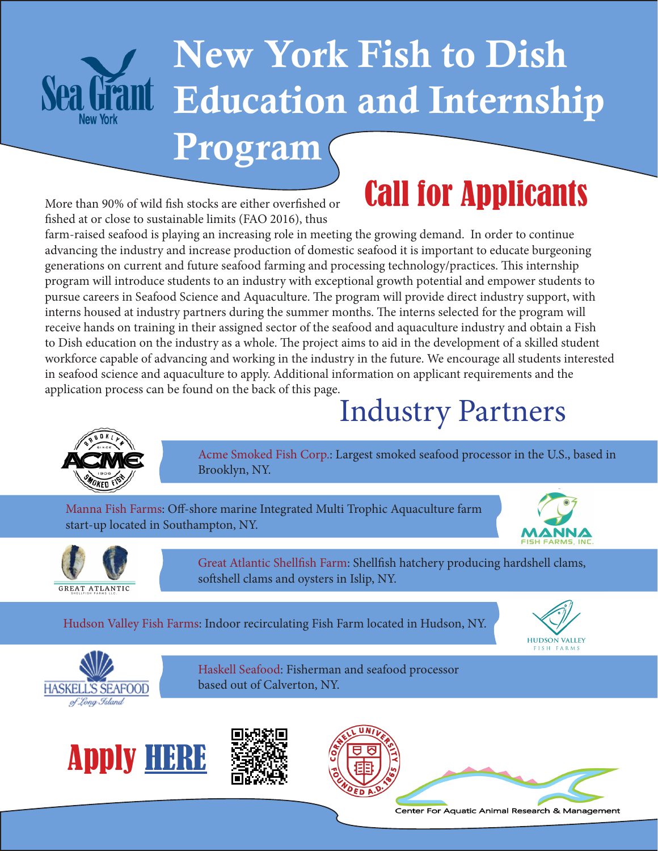

# New York Fish to Dish Education and Internship

#### Program

## Call for Applicants

More than 90% of wild fish stocks are either overfished or fished at or close to sustainable limits (FAO 2016), thus

farm-raised seafood is playing an increasing role in meeting the growing demand. In order to continue advancing the industry and increase production of domestic seafood it is important to educate burgeoning generations on current and future seafood farming and processing technology/practices. This internship program will introduce students to an industry with exceptional growth potential and empower students to pursue careers in Seafood Science and Aquaculture. The program will provide direct industry support, with interns housed at industry partners during the summer months. The interns selected for the program will receive hands on training in their assigned sector of the seafood and aquaculture industry and obtain a Fish to Dish education on the industry as a whole. The project aims to aid in the development of a skilled student workforce capable of advancing and working in the industry in the future. We encourage all students interested in seafood science and aquaculture to apply. Additional information on applicant requirements and the application process can be found on the back of this page.

## Industry Partners



Acme Smoked Fish Corp.: Largest smoked seafood processor in the U.S., based in Brooklyn, NY.

 Manna Fish Farms: Off-shore marine Integrated Multi Trophic Aquaculture farm start-up located in Southampton, NY.





Great Atlantic Shellfish Farm: Shellfish hatchery producing hardshell clams, softshell clams and oysters in Islip, NY.

Hudson Valley Fish Farms: Indoor recirculating Fish Farm located in Hudson, NY.





Haskell Seafood: Fisherman and seafood processor based out of Calverton, NY.









Center For Aquatic Animal Research & Management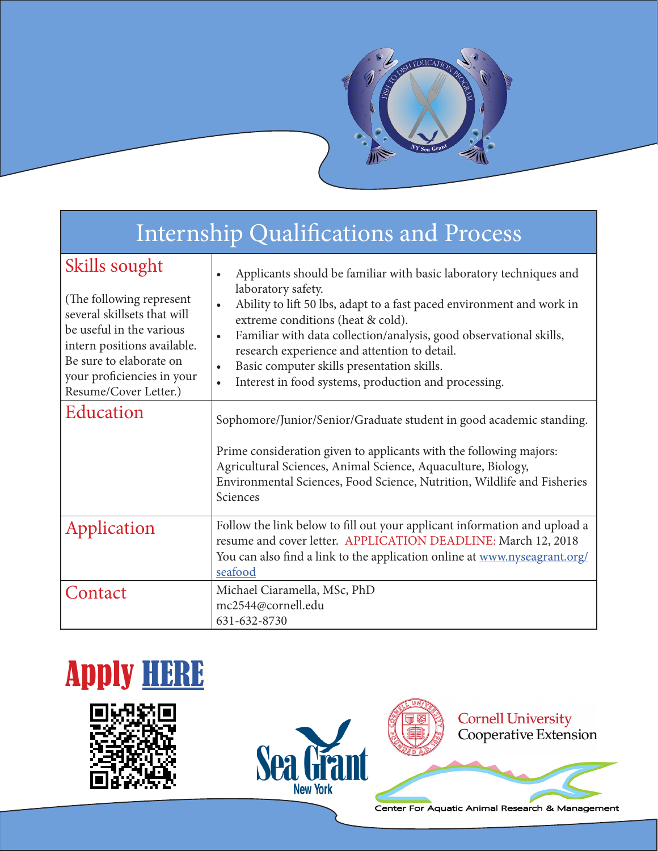

| <b>Internship Qualifications and Process</b>                                                                                                                                                                           |                                                                                                                                                                                                                                                                                                                                                                                                                                                              |
|------------------------------------------------------------------------------------------------------------------------------------------------------------------------------------------------------------------------|--------------------------------------------------------------------------------------------------------------------------------------------------------------------------------------------------------------------------------------------------------------------------------------------------------------------------------------------------------------------------------------------------------------------------------------------------------------|
| Skills sought<br>(The following represent)<br>several skillsets that will<br>be useful in the various<br>intern positions available.<br>Be sure to elaborate on<br>your proficiencies in your<br>Resume/Cover Letter.) | Applicants should be familiar with basic laboratory techniques and<br>laboratory safety.<br>Ability to lift 50 lbs, adapt to a fast paced environment and work in<br>extreme conditions (heat & cold).<br>Familiar with data collection/analysis, good observational skills,<br>$\bullet$<br>research experience and attention to detail.<br>Basic computer skills presentation skills.<br>$\bullet$<br>Interest in food systems, production and processing. |
| Education                                                                                                                                                                                                              | Sophomore/Junior/Senior/Graduate student in good academic standing.<br>Prime consideration given to applicants with the following majors:<br>Agricultural Sciences, Animal Science, Aquaculture, Biology,<br>Environmental Sciences, Food Science, Nutrition, Wildlife and Fisheries<br>Sciences                                                                                                                                                             |
| Application                                                                                                                                                                                                            | Follow the link below to fill out your applicant information and upload a<br>resume and cover letter. APPLICATION DEADLINE: March 12, 2018<br>You can also find a link to the application online at www.nyseagrant.org/<br>seafood                                                                                                                                                                                                                           |
| Contact                                                                                                                                                                                                                | Michael Ciaramella, MSc, PhD<br>mc2544@cornell.edu<br>631-632-8730                                                                                                                                                                                                                                                                                                                                                                                           |









**Cornell University<br>Cooperative Extension** 

Center For Aquatic Animal Research & Management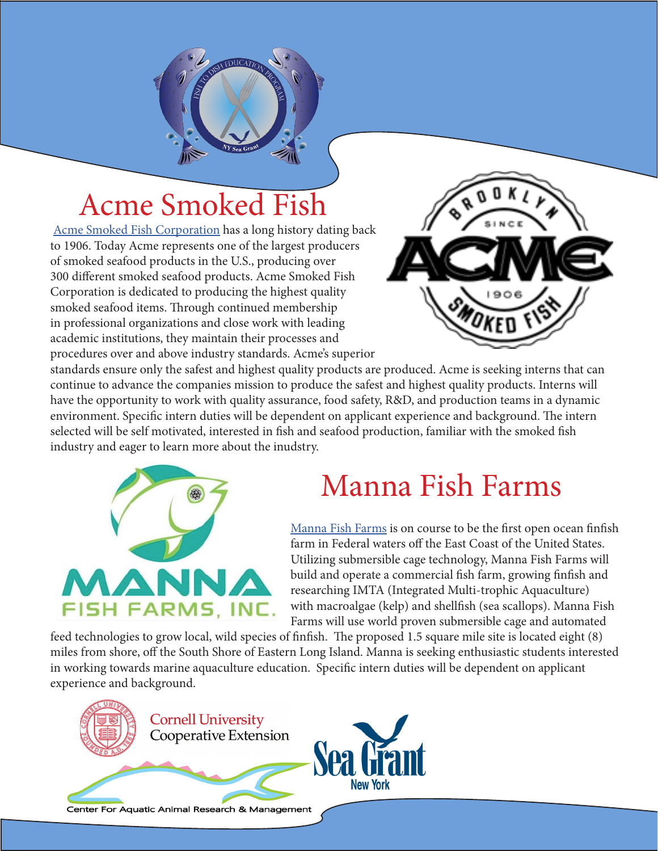## Acme Smoked Fish

[Acme Smoked Fish Corporation](http://www.acmesmokedfish.com/) has a long history dating back to 1906. Today Acme represents one of the largest producers of smoked seafood products in the U.S., producing over 300 different smoked seafood products. Acme Smoked Fish Corporation is dedicated to producing the highest quality smoked seafood items. Through continued membership in professional organizations and close work with leading academic institutions, they maintain their processes and procedures over and above industry standards. Acme's superior



standards ensure only the safest and highest quality products are produced. Acme is seeking interns that can continue to advance the companies mission to produce the safest and highest quality products. Interns will have the opportunity to work with quality assurance, food safety, R&D, and production teams in a dynamic environment. Specific intern duties will be dependent on applicant experience and background. The intern selected will be self motivated, interested in fish and seafood production, familiar with the smoked fish industry and eager to learn more about the inudstry.



#### Manna Fish Farms

[Manna Fish Farms](http://http://mannafishfarms.com/) is on course to be the first open ocean finfish farm in Federal waters off the East Coast of the United States. Utilizing submersible cage technology, Manna Fish Farms will build and operate a commercial fish farm, growing finfish and researching IMTA (Integrated Multi-trophic Aquaculture) with macroalgae (kelp) and shellfish (sea scallops). Manna Fish Farms will use world proven submersible cage and automated

feed technologies to grow local, wild species of finfish. The proposed 1.5 square mile site is located eight (8) miles from shore, off the South Shore of Eastern Long Island. Manna is seeking enthusiastic students interested in working towards marine aquaculture education. Specific intern duties will be dependent on applicant experience and background.

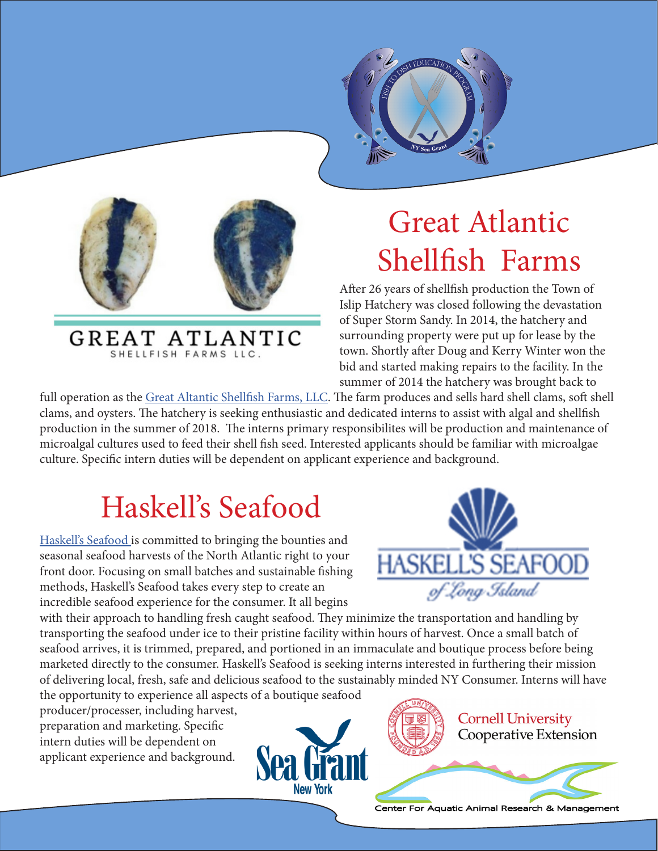



GREAT ATLANTIC SHELLFISH FARMS LLC.

## Great Atlantic Shellfish Farms

After 26 years of shellfish production the Town of Islip Hatchery was closed following the devastation of Super Storm Sandy. In 2014, the hatchery and surrounding property were put up for lease by the town. Shortly after Doug and Kerry Winter won the bid and started making repairs to the facility. In the summer of 2014 the hatchery was brought back to

full operation as the [Great Altantic Shellfish Farms, LLC](http://www.gsbhatchery.com/home.html). The farm produces and sells hard shell clams, soft shell clams, and oysters. The hatchery is seeking enthusiastic and dedicated interns to assist with algal and shellfish production in the summer of 2018. The interns primary responsibilites will be production and maintenance of microalgal cultures used to feed their shell fish seed. Interested applicants should be familiar with microalgae culture. Specific intern duties will be dependent on applicant experience and background.

## Haskell's Seafood

[Haskell's Seafood i](https://www.haskellsseafood.com/)s committed to bringing the bounties and seasonal seafood harvests of the North Atlantic right to your front door. Focusing on small batches and sustainable fishing methods, Haskell's Seafood takes every step to create an incredible seafood experience for the consumer. It all begins



with their approach to handling fresh caught seafood. They minimize the transportation and handling by transporting the seafood under ice to their pristine facility within hours of harvest. Once a small batch of seafood arrives, it is trimmed, prepared, and portioned in an immaculate and boutique process before being marketed directly to the consumer. Haskell's Seafood is seeking interns interested in furthering their mission of delivering local, fresh, safe and delicious seafood to the sustainably minded NY Consumer. Interns will have

the opportunity to experience all aspects of a boutique seafood

producer/processer, including harvest, preparation and marketing. Specific intern duties will be dependent on applicant experience and background.





**Cornell University** Cooperative Extension

Center For Aquatic Animal Research & Management